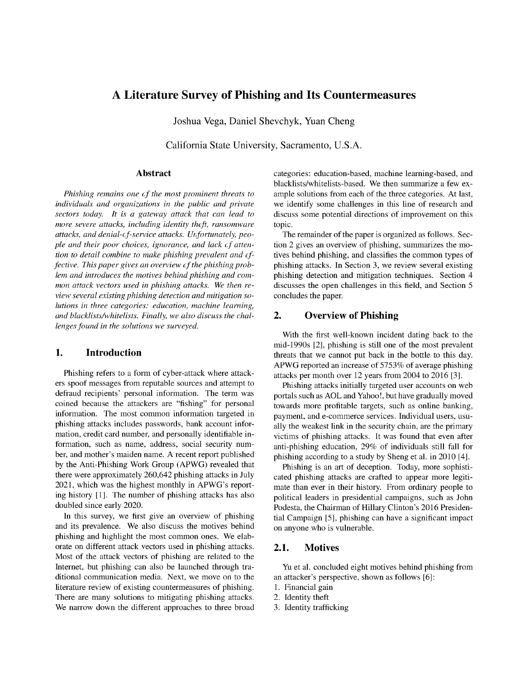# A Literature Survey of Phishing and Its Countermeasures

Joshua Vega, Daniel Shevchyk, Yuan Cheng

California State University, Sacramento, U.S.A.

#### Abstract

*Phishing remains one of the most prominent threats to individuals and organizations in the public and private sectors today. It is a gateway attack that can lead to more severe attacks, including identity theft, ransomware attacks, and denial-of-service attacks. Unfortunately, people and their poor choices, ignorance, and lack of attention to detail combine to make phishing prevalent and effective. This paper gives an overview of the phishing problem and introduces the motives behind phishing and common attack vectors used in phishing attacks. We then review several existing phishing detection and mitigation solutions in three categories: education, machine learning, and blacklists/whitelists. Finally, we also discuss the challenges found in the solutions we surveyed.*

### 1. Introduction

Phishing refers to a form of cyber-attack where attackers spoof messages from reputable sources and attempt to defraud recipients' personal information. The term was coined because the attackers are "fishing" for personal information. The most common information targeted in phishing attacks includes passwords, bank account information, credit card number, and personally identifiable information, such as name, address, social security number, and mother's maiden name. A recent report published by the Anti-Phishing Work Group (APWG) revealed that there were approximately 260,642 phishing attacks in July 2021, which was the highest monthly in APWG's reporting history [1]. The number of phishing attacks has also doubled since early 2020.

In this survey, we first give an overview of phishing and its prevalence. We also discuss the motives behind phishing and highlight the most common ones. We elaborate on different attack vectors used in phishing attacks. Most of the attack vectors of phishing are related to the Internet, but phishing can also be launched through traditional communication media. Next, we move on to the literature review of existing countermeasures of phishing. There are many solutions to mitigating phishing attacks. We narrow down the different approaches to three broad categories: education-based, machine learning-based, and blacklists/whitelists-based. We then summarize a few example solutions from each of the three categories. At last, we identify some challenges in this line of research and discuss some potential directions of improvement on this topic.

The remainder of the paper is organized as follows. Section 2 gives an overview of phishing, summarizes the motives behind phishing, and classifies the common types of phishing attacks. In Section 3, we review several existing phishing detection and mitigation techniques. Section 4 discusses the open challenges in this field, and Section 5 concludes the paper.

#### 2. Overview of Phishing

With the first well-known incident dating back to the mid-1990s [2], phishing is still one of the most prevalent threats that we cannot put back in the bottle to this day. APWG reported an increase of 5753% of average phishing attacks per month over 12 years from 2004 to 2016 [3].

Phishing attacks initially targeted user accounts on web portals such as AOL and Yahoo!, but have gradually moved towards more profitable targets, such as online banking, payment, and e-commerce services. Individual users, usually the weakest link in the security chain, are the primary victims of phishing attacks. It was found that even after anti-phishing education, 29% of individuals still fall for phishing according to a study by Sheng et al. in 2010 [4].

Phishing is an art of deception. Today, more sophisticated phishing attacks are crafted to appear more legitimate than ever in their history. From ordinary people to political leaders in presidential campaigns, such as John Podesta, the Chairman of Hillary Clinton's 2016 Presidential Campaign [5], phishing can have a significant impact on anyone who is vulnerable.

## 2.1. Motives

Yu et al. concluded eight motives behind phishing from an attacker's perspective, shown as follows [6]:

- 1. Financial gain
- 2. Identity theft
- 3. Identity trafficking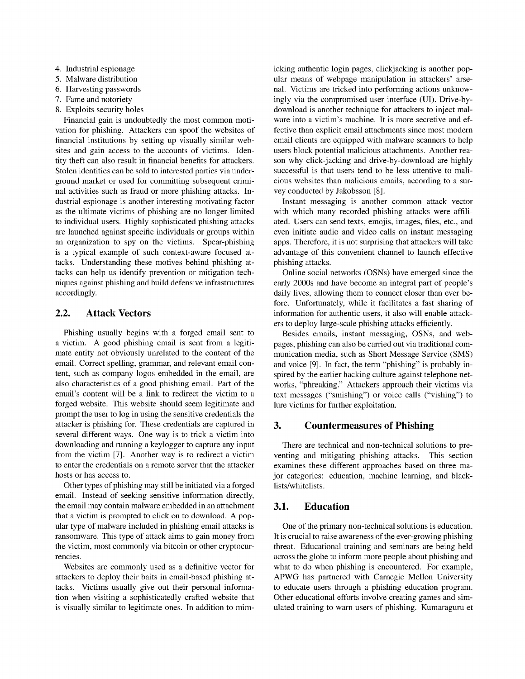- 4. Industrial espionage
- 5. Malware distribution
- 6. Harvesting passwords
- 7. Fame and notoriety
- 8. Exploits security holes

Financial gain is undoubtedly the most common motivation for phishing. Attackers can spoof the websites of financial institutions by setting up visually similar websites and gain access to the accounts of victims. Identity theft can also result in financial benefits for attackers. Stolen identities can be sold to interested parties via underground market or used for committing subsequent criminal activities such as fraud or more phishing attacks. Industrial espionage is another interesting motivating factor as the ultimate victims of phishing are no longer limited to individual users. Highly sophisticated phishing attacks are launched against specific individuals or groups within an organization to spy on the victims. Spear-phishing is a typical example of such context-aware focused attacks. Understanding these motives behind phishing attacks can help us identify prevention or mitigation techniques against phishing and build defensive infrastructures accordingly.

# 2.2. Attack Vectors

Phishing usually begins with a forged email sent to a victim. A good phishing email is sent from a legitimate entity not obviously unrelated to the content of the email. Correct spelling, grammar, and relevant email content, such as company logos embedded in the email, are also characteristics of a good phishing email. Part of the email's content will be a link to redirect the victim to a forged website. This website should seem legitimate and prompt the user to log in using the sensitive credentials the attacker is phishing for. These credentials are captured in several different ways. One way is to trick a victim into downloading and running a keylogger to capture any input from the victim [7]. Another way is to redirect a victim to enter the credentials on a remote server that the attacker hosts or has access to.

Other types of phishing may still be initiated via a forged email. Instead of seeking sensitive information directly, the email may contain malware embedded in an attachment that a victim is prompted to click on to download. A popular type of malware included in phishing email attacks is ransomware. This type of attack aims to gain money from the victim, most commonly via bitcoin or other cryptocurrencies.

Websites are commonly used as a definitive vector for attackers to deploy their baits in email-based phishing attacks. Victims usually give out their personal information when visiting a sophisticatedly crafted website that is visually similar to legitimate ones. In addition to mimicking authentic login pages, clickjacking is another popular means of webpage manipulation in attackers' arsenal. Victims are tricked into performing actions unknowingly via the compromised user interface (UI). Drive-bydownload is another technique for attackers to inject malware into a victim's machine. It is more secretive and effective than explicit email attachments since most modern email clients are equipped with malware scanners to help users block potential malicious attachments. Another reason why click-jacking and drive-by-download are highly successful is that users tend to be less attentive to malicious websites than malicious emails, according to a survey conducted by Jakobsson [8].

Instant messaging is another common attack vector with which many recorded phishing attacks were affiliated. Users can send texts, emojis, images, files, etc., and even initiate audio and video calls on instant messaging apps. Therefore, it is not surprising that attackers will take advantage of this convenient channel to launch effective phishing attacks.

Online social networks (OSNs) have emerged since the early 2000s and have become an integral part of people's daily lives, allowing them to connect closer than ever before. Unfortunately, while it facilitates a fast sharing of information for authentic users, it also will enable attackers to deploy large-scale phishing attacks efficiently.

Besides emails, instant messaging, OSNs, and webpages, phishing can also be carried out via traditional communication media, such as Short Message Service (SMS) and voice [9]. In fact, the term "phishing" is probably inspired by the earlier hacking culture against telephone networks, "phreaking." Attackers approach their victims via text messages ("smishing") or voice calls ("vishing") to lure victims for further exploitation.

### 3. Countermeasures of Phishing

There are technical and non-technical solutions to preventing and mitigating phishing attacks. This section examines these different approaches based on three major categories: education, machine learning, and blacklists/whitelists.

### 3.1. Education

One of the primary non-technical solutions is education. It is crucial to raise awareness of the ever-growing phishing threat. Educational training and seminars are being held across the globe to inform more people about phishing and what to do when phishing is encountered. For example, APWG has partnered with Carnegie Mellon University to educate users through a phishing education program. Other educational efforts involve creating games and simulated training to warn users of phishing. Kumaraguru et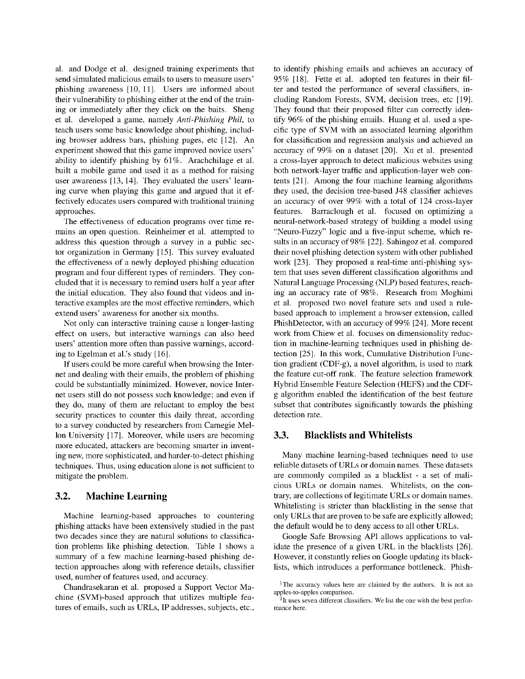al. and Dodge et al. designed training experiments that send simulated malicious emails to users to measure users' phishing awareness [10, 11]. Users are informed about their vulnerability to phishing either at the end of the training or immediately after they click on the baits. Sheng et al. developed a game, namely *Anti-Phishing Phil*, to teach users some basic knowledge about phishing, including browser address bars, phishing pages, etc [12]. An experiment showed that this game improved novice users' ability to identify phishing by 61%. Arachchilage et al. built a mobile game and used it as a method for raising user awareness [13, 14]. They evaluated the users' learning curve when playing this game and argued that it effectively educates users compared with traditional training approaches.

The effectiveness of education programs over time remains an open question. Reinheimer et al. attempted to address this question through a survey in a public sector organization in Germany [15]. This survey evaluated the effectiveness of a newly deployed phishing education program and four different types of reminders. They concluded that it is necessary to remind users half a year after the initial education. They also found that videos and interactive examples are the most effective reminders, which extend users' awareness for another six months.

Not only can interactive training cause a longer-lasting effect on users, but interactive warnings can also heed users' attention more often than passive warnings, according to Egelman et al.'s study [16].

If users could be more careful when browsing the Internet and dealing with their emails, the problem of phishing could be substantially minimized. However, novice Internet users still do not possess such knowledge; and even if they do, many of them are reluctant to employ the best security practices to counter this daily threat, according to a survey conducted by researchers from Carnegie Mellon University [17]. Moreover, while users are becoming more educated, attackers are becoming smarter in inventing new, more sophisticated, and harder-to-detect phishing techniques. Thus, using education alone is not sufficient to mitigate the problem.

#### 3.2. Machine Learning

Machine learning-based approaches to countering phishing attacks have been extensively studied in the past two decades since they are natural solutions to classification problems like phishing detection. Table <sup>1</sup> shows a summary of a few machine learning-based phishing detection approaches along with reference details, classifier used, number of features used, and accuracy.

Chandrasekaran et al. proposed a Support Vector Machine (SVM)-based approach that utilizes multiple features of emails, such as URLs, IP addresses, subjects, etc., to identify phishing emails and achieves an accuracy of 95% [18]. Fette et al. adopted ten features in their filter and tested the performance of several classifiers, including Random Forests, SVM, decision trees, etc [19]. They found that their proposed filter can correctly identify 96% of the phishing emails. Huang et al. used a specific type of SVM with an associated learning algorithm for classification and regression analysis and achieved an accuracy of 99% on a dataset [20]. Xu et al. presented a cross-layer approach to detect malicious websites using both network-layer traffic and application-layer web contents [21]. Among the four machine learning algorithms they used, the decision tree-based J48 classifier achieves an accuracy of over 99% with a total of 124 cross-layer features. Barraclough et al. focused on optimizing a neural-network-based strategy of building a model using "Neuro-Fuzzy" logic and a five-input scheme, which results in an accuracy of 98% [22]. Sahingoz et al. compared their novel phishing detection system with other published work [23]. They proposed a real-time anti-phishing system that uses seven different classification algorithms and Natural Language Processing (NLP) based features, reaching an accuracy rate of 98%. Research from Moghimi et al. proposed two novel feature sets and used a rulebased approach to implement a browser extension, called PhishDetector, with an accuracy of 99% [24]. More recent work from Chiew et al. focuses on dimensionality reduction in machine-learning techniques used in phishing detection [25]. In this work, Cumulative Distribution Function gradient (CDF-g), a novel algorithm, is used to mark the feature cut-off rank. The feature selection framework Hybrid Ensemble Feature Selection (HEFS) and the CDFg algorithm enabled the identification of the best feature subset that contributes significantly towards the phishing detection rate.

#### 3.3. Blacklists and Whitelists

Many machine learning-based techniques need to use reliable datasets of URLs or domain names. These datasets are commonly compiled as a blacklist - a set of malicious URLs or domain names. Whitelists, on the contrary, are collections of legitimate URLs or domain names. Whitelisting is stricter than blacklisting in the sense that only URLs that are proven to be safe are explicitly allowed; the default would be to deny access to all other URLs.

Google Safe Browsing API allows applications to validate the presence of a given URL in the blacklists [26]. However, it constantly relies on Google updating its blacklists, which introduces a performance bottleneck. Phish-

 $1$ The accuracy values here are claimed by the authors. It is not an apples-to-apples comparison.

 $2$ It uses seven different classifiers. We list the one with the best performance here.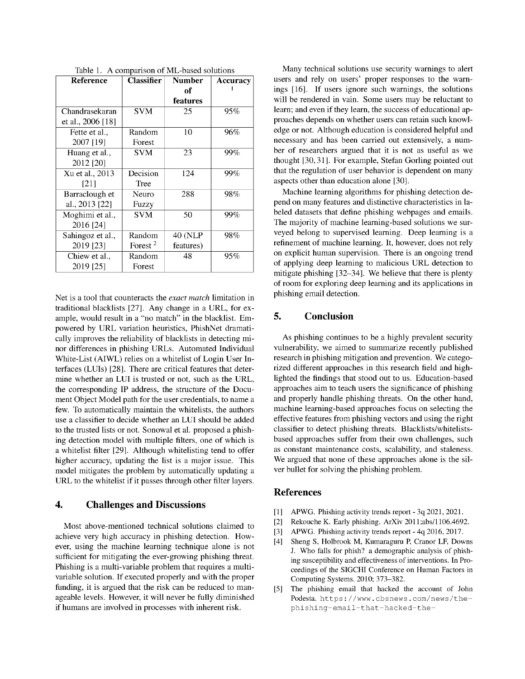| Reference         | <b>Classifier</b>   | <b>Number</b>  | Accuracy |
|-------------------|---------------------|----------------|----------|
|                   |                     | of             |          |
|                   |                     | features       |          |
| Chandrasekaran    | <b>SVM</b>          | 25             | 95%      |
| et al., 2006 [18] |                     |                |          |
| Fette et al       | Random              | 10             | 96%      |
| 2007 [19]         | Forest              |                |          |
| Huang et al.,     | <b>SVM</b>          | 23             | 99%      |
| 2012 [20]         |                     |                |          |
| Xu et al., 2013   | Decision            | 124            | 99%      |
| [21]              | Tree                |                |          |
| Barraclough et    | Neuro               | 288            | 98%      |
| al., 2013 [22]    | Fuzzy               |                |          |
| Moghimi et al.,   | <b>SVM</b>          | 50             | 99%      |
| 2016 [24]         |                     |                |          |
| Sahingoz et al.,  | Random              | <b>40 (NLP</b> | 98%      |
| 2019 [23]         | Forest <sup>2</sup> | features)      |          |
| Chiew et al.,     | Random              | 48             | 95%      |
| 2019 [25]         | Forest              |                |          |

Table 1. A comparison of ML-based solutions

Net is a tool that counteracts the *exact match* limitation in traditional blacklists [27]. Any change in a URL, for example, would result in a "no match" in the blacklist. Empowered by URL variation heuristics, PhishNet dramatically improves the reliability of blacklists in detecting minor differences in phishing URLs. Automated Individual White-List (AIWL) relies on a whitelist of Login User Interfaces (LUIs) [28]. There are critical features that determine whether an LUI is trusted or not, such as the URL, the corresponding IP address, the structure of the Document Object Model path for the user credentials, to name a few. To automatically maintain the whitelists, the authors use a classifier to decide whether an LUI should be added to the trusted lists or not. Sonowal et al. proposed a phishing detection model with multiple filters, one of which is a whitelist filter [29]. Although whitelisting tend to offer higher accuracy, updating the list is a major issue. This model mitigates the problem by automatically updating a URL to the whitelist if it passes through other filter layers.

### 4. Challenges and Discussions

Most above-mentioned technical solutions claimed to achieve very high accuracy in phishing detection. However, using the machine learning technique alone is not sufficient for mitigating the ever-growing phishing threat. Phishing is a multi-variable problem that requires a multivariable solution. If executed properly and with the proper funding, it is argued that the risk can be reduced to manageable levels. However, it will never be fully diminished if humans are involved in processes with inherent risk.

Many technical solutions use security warnings to alert users and rely on users' proper responses to the warnings [16]. If users ignore such warnings, the solutions will be rendered in vain. Some users may be reluctant to learn; and even if they learn, the success of educational approaches depends on whether users can retain such knowledge or not. Although education is considered helpful and necessary and has been carried out extensively, a number of researchers argued that it is not as useful as we thought [30, 31]. For example, Stefan Gorling pointed out that the regulation of user behavior is dependent on many aspects other than education alone [30].

Machine learning algorithms for phishing detection depend on many features and distinctive characteristics in labeled datasets that define phishing webpages and emails. The majority of machine learning-based solutions we surveyed belong to supervised learning. Deep learning is a refinement of machine learning. It, however, does not rely on explicit human supervision. There is an ongoing trend of applying deep learning to malicious URL detection to mitigate phishing [32-34]. We believe that there is plenty of room for exploring deep learning and its applications in phishing email detection.

# 5. Conclusion

As phishing continues to be a highly prevalent security vulnerability, we aimed to summarize recently published research in phishing mitigation and prevention. We categorized different approaches in this research field and highlighted the findings that stood out to us. Education-based approaches aim to teach users the significance of phishing and properly handle phishing threats. On the other hand, machine learning-based approaches focus on selecting the effective features from phishing vectors and using the right classifier to detect phishing threats. Blacklists/whitelistsbased approaches suffer from their own challenges, such as constant maintenance costs, scalability, and staleness. We argued that none of these approaches alone is the silver bullet for solving the phishing problem.

#### References

- [1] APWG. Phishing activity trends report 3q 2021, 2021.
- [2] Rekouche K. Early phishing. ArXiv 2011;abs/1106.4692.
- [3] APWG. Phishing activity trends report 4q 2016, 2017.
- [4] Sheng S, Holbrook M, Kumaraguru P, Cranor LF, Downs J. Who falls for phish? a demographic analysis of phishing susceptibility and effectiveness of interventions. In Proceedings of the SIGCHI Conference on Human Factors in Computing Systems. 2010; 373-382.
- [5] The phishing email that hacked the account of John Podesta. [https://www.cbsnews.com/news/the](https://www.cbsnews.com/news/the-phishing-email-that-hacked-the-)phishing-email-that-hacked-the-